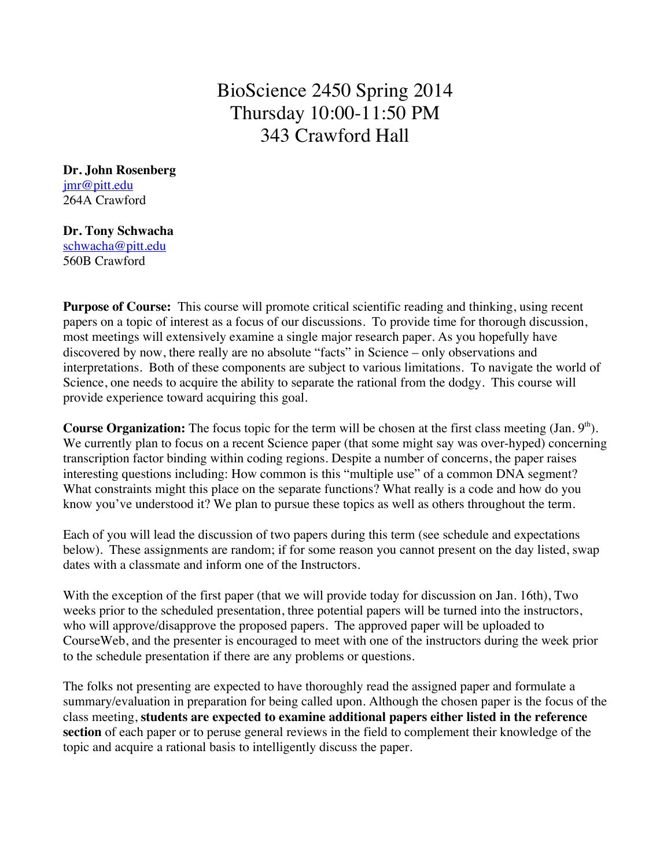# BioScience 2450 Spring 2014 Thursday 10:00-11:50 PM 343 Crawford Hall

**Dr. John Rosenberg** jmr@pitt.edu 264A Crawford

#### **Dr. Tony Schwacha**

schwacha@pitt.edu 560B Crawford

**Purpose of Course:** This course will promote critical scientific reading and thinking, using recent papers on a topic of interest as a focus of our discussions. To provide time for thorough discussion, most meetings will extensively examine a single major research paper. As you hopefully have discovered by now, there really are no absolute "facts" in Science – only observations and interpretations. Both of these components are subject to various limitations. To navigate the world of Science, one needs to acquire the ability to separate the rational from the dodgy. This course will provide experience toward acquiring this goal.

**Course Organization:** The focus topic for the term will be chosen at the first class meeting  $(Jan. 9<sup>th</sup>)$ . We currently plan to focus on a recent Science paper (that some might say was over-hyped) concerning transcription factor binding within coding regions. Despite a number of concerns, the paper raises interesting questions including: How common is this "multiple use" of a common DNA segment? What constraints might this place on the separate functions? What really is a code and how do you know you've understood it? We plan to pursue these topics as well as others throughout the term.

Each of you will lead the discussion of two papers during this term (see schedule and expectations below). These assignments are random; if for some reason you cannot present on the day listed, swap dates with a classmate and inform one of the Instructors.

With the exception of the first paper (that we will provide today for discussion on Jan. 16th), Two weeks prior to the scheduled presentation, three potential papers will be turned into the instructors, who will approve/disapprove the proposed papers. The approved paper will be uploaded to CourseWeb, and the presenter is encouraged to meet with one of the instructors during the week prior to the schedule presentation if there are any problems or questions.

The folks not presenting are expected to have thoroughly read the assigned paper and formulate a summary/evaluation in preparation for being called upon. Although the chosen paper is the focus of the class meeting, **students are expected to examine additional papers either listed in the reference section** of each paper or to peruse general reviews in the field to complement their knowledge of the topic and acquire a rational basis to intelligently discuss the paper.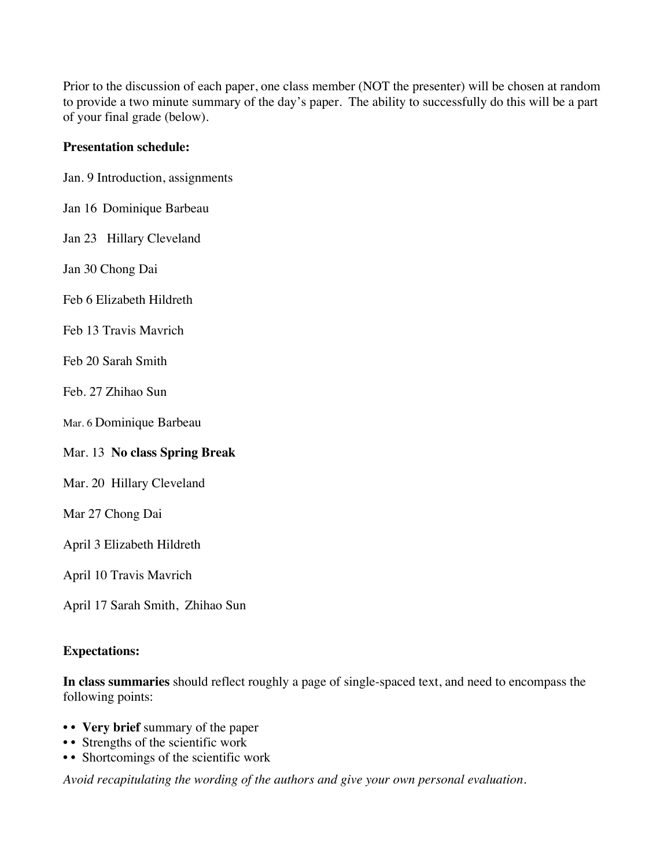Prior to the discussion of each paper, one class member (NOT the presenter) will be chosen at random to provide a two minute summary of the day's paper. The ability to successfully do this will be a part of your final grade (below).

## **Presentation schedule:**

- Jan. 9 Introduction, assignments
- Jan 16 Dominique Barbeau
- Jan 23 Hillary Cleveland
- Jan 30 Chong Dai
- Feb 6 Elizabeth Hildreth
- Feb 13 Travis Mavrich
- Feb 20 Sarah Smith
- Feb. 27 Zhihao Sun
- Mar. 6 Dominique Barbeau

#### Mar. 13 **No class Spring Break**

- Mar. 20 Hillary Cleveland
- Mar 27 Chong Dai
- April 3 Elizabeth Hildreth
- April 10 Travis Mavrich
- April 17 Sarah Smith, Zhihao Sun

# **Expectations:**

**In class summaries** should reflect roughly a page of single-spaced text, and need to encompass the following points:

- • **Very brief** summary of the paper
- • Strengths of the scientific work
- • Shortcomings of the scientific work

*Avoid recapitulating the wording of the authors and give your own personal evaluation.*